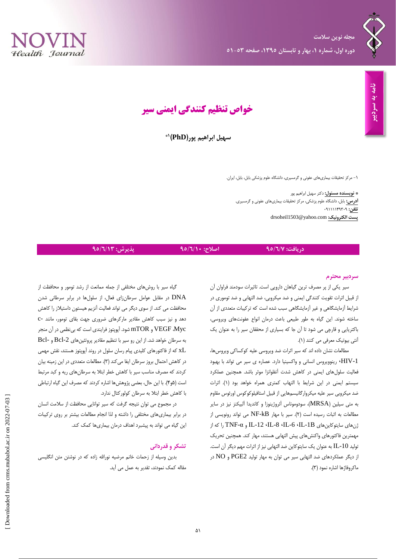



**خواص تنظیم کنندگی ایمنی سیر**

**1\* سهیل ابراهیم پور)PhD)**

-5 مرکز تحقیقات بیماریهای عفونی و گرمسیری، دانشگاه علوم پزشکی بابل، بابل، ایران.

**\* نویسنده مسئول:** دکتر سهیل ابراهیم پور **آدرس:** بابل، دانشگاه علوم پزشکی، مرکز تحقیقات بیماریهای عفونی و گرمسیری. تلفن: ۹۱۱۱۴۹۳۰۹ ۰۹۱۱۱۱ drsoheil1503@yahoo.com **:الکترونیک پست**

## **دریافت: 31/6/7 اصالح: 31/6/11 پذیرش: 31/6/19**

### **سردبیر محترم**

سیر یکی از پر مصرف ترین گیاهان دارویی است. تاثیرات سودمند فراوان آن از قبیل اثرات تقویت کنندگی ایمنی و ضد میکروبی، ضد التهابی و ضد توموری در شرایط آزمایشگاهی و غیر آزمایشگاهی سبب شده است که ترکیبات متعددی از آن ساخته شوند. این گیاه به طور طبیعی باعث درمان انواع عفونتهای ویروسی، باکتریایی و قارچی می شود تا آن جا که بسیاری از محققان سیر را به عنوان یک آنتی بیوتیک معرفی می کنند )5(.

مطالعات نشان داده اند که سیر اثرات ضد ویروسی علیه کوکساکی ویروسها، -1HIV، رینوویروس انسانی و واکسینیا دارد. عصاره ی سیر می تواند با بهبود فعالیت سلولهای ایمنی در کاهش شدت آنفلوانزا موثر باشد. همچنین عملکرد سیستم ایمنی در این شرایط با التهاب کمتری همراه خواهد بود )5(. اثرات ضد میکروبی سیر علیه میکروارگانیسمهایی از قبیل استافیلوکوکوس اورئوس مقاوم به متی سیلین )MRSA)، سودوموناس آئروژینوزا و کاندیدا آلبیکنز نیز در سایر مطالعات به اثبات رسیده است )2(. سیر با مهار kB-NF می تواند رونویسی از از که را TNF-α و IL-12 ،IL-8 ،IL-6 ،IL-1B سایتوکاینهای ژنهای مهمترین فاکتورهای واکنشهای پیش التهابی هستند، مهار کند. همچنین تحریک تولید 10-IL به عنوان یک سایتوکاین ضد التهابی نیز از اثرات مهم دیگر آن است. از دیگر عملکردهای ضد التهابی سیر می توان به مهار تولید 2PGE و NO در ماکروفاژها اشاره نمود )3(.

گیاه سیر با روشهای مختلفی از جمله ممانعت از رشد تومور و محافظت از DNA در مقابل عوامل سرطانزای فعال، از سلولها در برابر سرطانی شدن محافظت می کند. از سوی دیگر می تواند فعالیت آنزیم هیستون داستیالز را کاهش دهد و نیز سبب کاهش مقادیر مارکرهای ضروری جهت بقای تومور، مانند -c Myc، VEGF و mTOR شود. آپوپتوز فرایندی است که بینظمی در آن منجر به سرطان خواهد شد. از این رو سیر با تنظیم مقادیر پروتئینهای -2Bcl و -Bcl که از فاکتورهای کلیدی پیام رسان سلول در روند آپوپتوز هستند، نقش مهمی  $\rm xL$ در کاهش احتمال بروز سرطان ایفا میکند )3(. مطالعات متعددی در این زمینه بیان کردند که مصرف مناسب سیر با کاهش خطر ابتال به سرطانهای ریه و کبد مرتبط است )1و4(. با این حال، بعضی پژوهشها اشاره کردند که مصرف این گیاه ارتباطی با کاهش خطر ابتال به سرطان کولورکتال ندارد.

در مجموع می توان نتیجه گرفت که سیر توانایی محافظت از سالمت انسان در برابر بیماریهای مختلفی را داشته و لذا انجام مطالعات بیشتر بر روی ترکیبات این گیاه می تواند به پیشبرد اهداف درمان بیماریها کمک کند.

### **تشکر و قدردانی**

بدین وسیله از زحمات خانم مرضیه نورالله زاده که در نوشتن متن انگلیسی مقاله کمک نمودند، تقدیر به عمل می آید.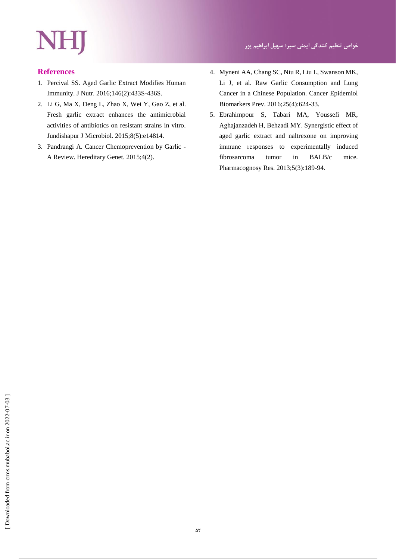# NHJ

# **References**

- 1. Percival SS. Aged Garlic Extract Modifies Human Immunity. J Nutr. 2016;146(2):433S-436S.
- 2. Li G, Ma X, Deng L, Zhao X, Wei Y, Gao Z, et al. Fresh garlic extract enhances the antimicrobial activities of antibiotics on resistant strains in vitro. Jundishapur J Microbiol. 2015;8(5):e14814.
- 3. Pandrangi A. Cancer Chemoprevention by Garlic A Review. Hereditary Genet. 2015;4(2).
- 4. Myneni AA, Chang SC, Niu R, Liu L, Swanson MK, Li J, et al. Raw Garlic Consumption and Lung Cancer in a Chinese Population. Cancer Epidemiol Biomarkers Prev. 2016;25(4):624-33.
- 5. Ebrahimpour S, Tabari MA, Youssefi MR, Aghajanzadeh H, Behzadi MY. Synergistic effect of aged garlic extract and naltrexone on improving immune responses to experimentally induced fibrosarcoma tumor in BALB/c mice. Pharmacognosy Res. 2013;5(3):189-94.